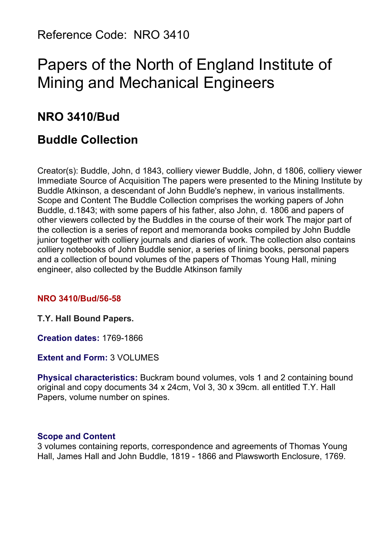Reference Code: NRO 3410

# Papers of the North of England Institute of Mining and Mechanical Engineers

# **NRO 3410/Bud**

# **Buddle Collection**

Creator(s): Buddle, John, d 1843, colliery viewer Buddle, John, d 1806, colliery viewer Immediate Source of Acquisition The papers were presented to the Mining Institute by Buddle Atkinson, a descendant of John Buddle's nephew, in various installments. Scope and Content The Buddle Collection comprises the working papers of John Buddle, d.1843; with some papers of his father, also John, d. 1806 and papers of other viewers collected by the Buddles in the course of their work The major part of the collection is a series of report and memoranda books compiled by John Buddle junior together with colliery journals and diaries of work. The collection also contains colliery notebooks of John Buddle senior, a series of lining books, personal papers and a collection of bound volumes of the papers of Thomas Young Hall, mining engineer, also collected by the Buddle Atkinson family

#### **NRO 3410/Bud/56-58**

**T.Y. Hall Bound Papers.**

**Creation dates:** 1769-1866

**Extent and Form:** 3 VOLUMES

**Physical characteristics:** Buckram bound volumes, vols 1 and 2 containing bound original and copy documents 34 x 24cm, Vol 3, 30 x 39cm. all entitled T.Y. Hall Papers, volume number on spines.

#### **Scope and Content**

3 volumes containing reports, correspondence and agreements of Thomas Young Hall, James Hall and John Buddle, 1819 - 1866 and Plawsworth Enclosure, 1769.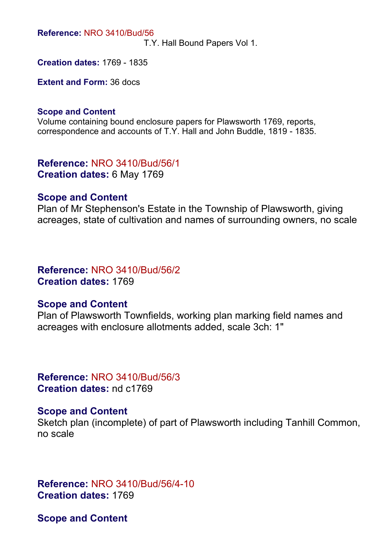**Reference:** NRO 3410/Bud/56

T.Y. Hall Bound Papers Vol 1.

**Creation dates:** 1769 - 1835

**Extent and Form:** 36 docs

#### **Scope and Content**

Volume containing bound enclosure papers for Plawsworth 1769, reports, correspondence and accounts of T.Y. Hall and John Buddle, 1819 - 1835.

**Reference:** NRO 3410/Bud/56/1 **Creation dates:** 6 May 1769

#### **Scope and Content**

Plan of Mr Stephenson's Estate in the Township of Plawsworth, giving acreages, state of cultivation and names of surrounding owners, no scale

#### **Reference:** NRO 3410/Bud/56/2 **Creation dates:** 1769

#### **Scope and Content**

Plan of Plawsworth Townfields, working plan marking field names and acreages with enclosure allotments added, scale 3ch: 1"

**Reference:** NRO 3410/Bud/56/3 **Creation dates:** nd c1769

#### **Scope and Content**

Sketch plan (incomplete) of part of Plawsworth including Tanhill Common, no scale

**Reference:** NRO 3410/Bud/56/4-10 **Creation dates:** 1769

**Scope and Content**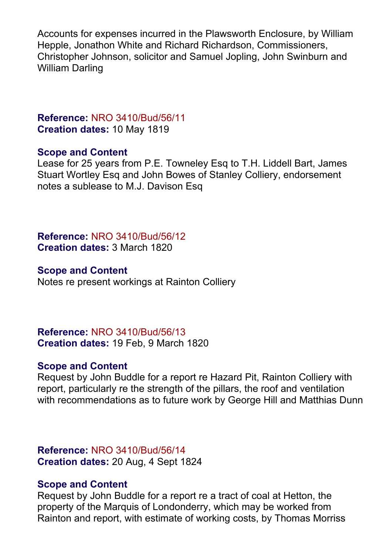Accounts for expenses incurred in the Plawsworth Enclosure, by William Hepple, Jonathon White and Richard Richardson, Commissioners, Christopher Johnson, solicitor and Samuel Jopling, John Swinburn and William Darling

## **Reference:** NRO 3410/Bud/56/11 **Creation dates:** 10 May 1819

#### **Scope and Content**

Lease for 25 years from P.E. Towneley Esq to T.H. Liddell Bart, James Stuart Wortley Esq and John Bowes of Stanley Colliery, endorsement notes a sublease to M.J. Davison Esq

**Reference:** NRO 3410/Bud/56/12 **Creation dates:** 3 March 1820

#### **Scope and Content**

Notes re present workings at Rainton Colliery

**Reference:** NRO 3410/Bud/56/13 **Creation dates:** 19 Feb, 9 March 1820

## **Scope and Content**

Request by John Buddle for a report re Hazard Pit, Rainton Colliery with report, particularly re the strength of the pillars, the roof and ventilation with recommendations as to future work by George Hill and Matthias Dunn

**Reference:** NRO 3410/Bud/56/14 **Creation dates:** 20 Aug, 4 Sept 1824

## **Scope and Content**

Request by John Buddle for a report re a tract of coal at Hetton, the property of the Marquis of Londonderry, which may be worked from Rainton and report, with estimate of working costs, by Thomas Morriss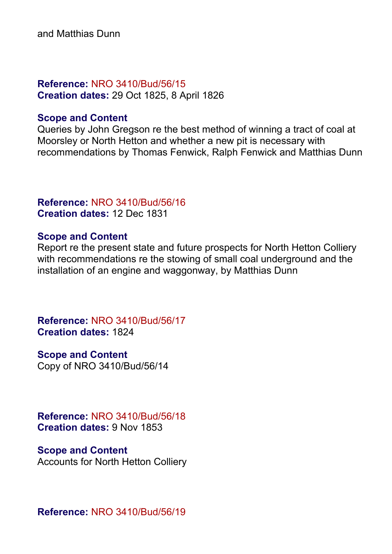and Matthias Dunn

## **Reference:** NRO 3410/Bud/56/15 **Creation dates:** 29 Oct 1825, 8 April 1826

## **Scope and Content**

Queries by John Gregson re the best method of winning a tract of coal at Moorsley or North Hetton and whether a new pit is necessary with recommendations by Thomas Fenwick, Ralph Fenwick and Matthias Dunn

## **Reference:** NRO 3410/Bud/56/16 **Creation dates:** 12 Dec 1831

## **Scope and Content**

Report re the present state and future prospects for North Hetton Colliery with recommendations re the stowing of small coal underground and the installation of an engine and waggonway, by Matthias Dunn

**Reference:** NRO 3410/Bud/56/17 **Creation dates:** 1824

**Scope and Content** Copy of NRO 3410/Bud/56/14

**Reference:** NRO 3410/Bud/56/18 **Creation dates:** 9 Nov 1853

#### **Scope and Content**

Accounts for North Hetton Colliery

**Reference:** NRO 3410/Bud/56/19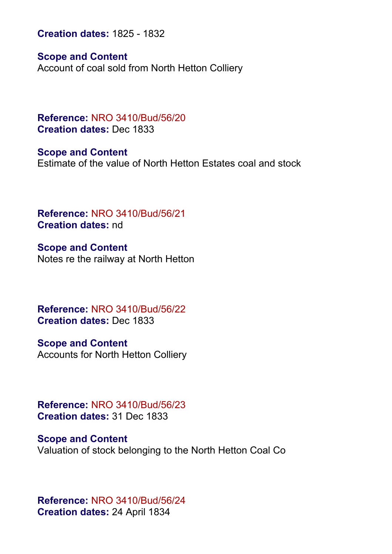**Creation dates:** 1825 - 1832

**Scope and Content**

Account of coal sold from North Hetton Colliery

**Reference:** NRO 3410/Bud/56/20 **Creation dates:** Dec 1833

**Scope and Content** Estimate of the value of North Hetton Estates coal and stock

**Reference:** NRO 3410/Bud/56/21 **Creation dates:** nd

**Scope and Content** Notes re the railway at North Hetton

**Reference:** NRO 3410/Bud/56/22 **Creation dates:** Dec 1833

**Scope and Content** Accounts for North Hetton Colliery

**Reference:** NRO 3410/Bud/56/23 **Creation dates:** 31 Dec 1833

**Scope and Content** Valuation of stock belonging to the North Hetton Coal Co

**Reference:** NRO 3410/Bud/56/24 **Creation dates:** 24 April 1834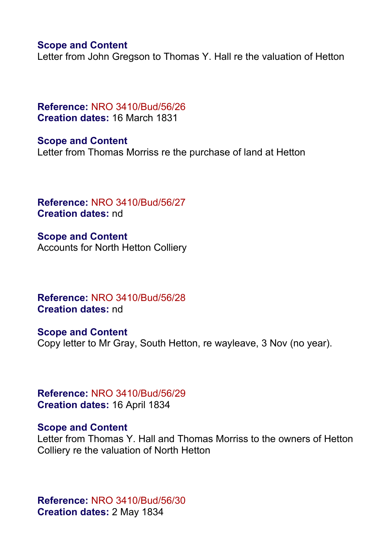#### **Scope and Content**

Letter from John Gregson to Thomas Y. Hall re the valuation of Hetton

**Reference:** NRO 3410/Bud/56/26 **Creation dates:** 16 March 1831

**Scope and Content** Letter from Thomas Morriss re the purchase of land at Hetton

**Reference:** NRO 3410/Bud/56/27 **Creation dates:** nd

**Scope and Content** Accounts for North Hetton Colliery

**Reference:** NRO 3410/Bud/56/28 **Creation dates:** nd

**Scope and Content** Copy letter to Mr Gray, South Hetton, re wayleave, 3 Nov (no year).

**Reference:** NRO 3410/Bud/56/29 **Creation dates:** 16 April 1834

#### **Scope and Content**

Letter from Thomas Y. Hall and Thomas Morriss to the owners of Hetton Colliery re the valuation of North Hetton

**Reference:** NRO 3410/Bud/56/30 **Creation dates:** 2 May 1834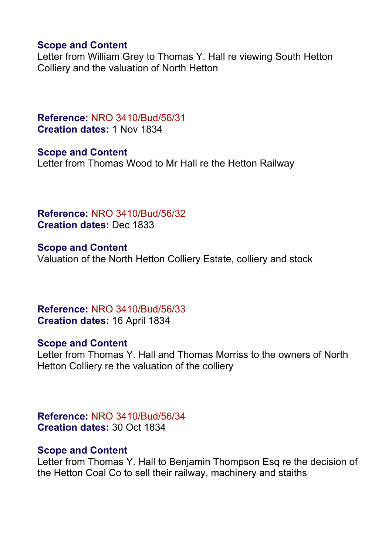#### **Scope and Content**

Letter from William Grey to Thomas Y. Hall re viewing South Hetton Colliery and the valuation of North Hetton

**Reference:** NRO 3410/Bud/56/31 **Creation dates:** 1 Nov 1834

**Scope and Content** Letter from Thomas Wood to Mr Hall re the Hetton Railway

**Reference:** NRO 3410/Bud/56/32 **Creation dates:** Dec 1833

**Scope and Content** Valuation of the North Hetton Colliery Estate, colliery and stock

**Reference:** NRO 3410/Bud/56/33 **Creation dates:** 16 April 1834

## **Scope and Content**

Letter from Thomas Y. Hall and Thomas Morriss to the owners of North Hetton Colliery re the valuation of the colliery

**Reference:** NRO 3410/Bud/56/34 **Creation dates:** 30 Oct 1834

#### **Scope and Content**

Letter from Thomas Y. Hall to Benjamin Thompson Esq re the decision of the Hetton Coal Co to sell their railway, machinery and staiths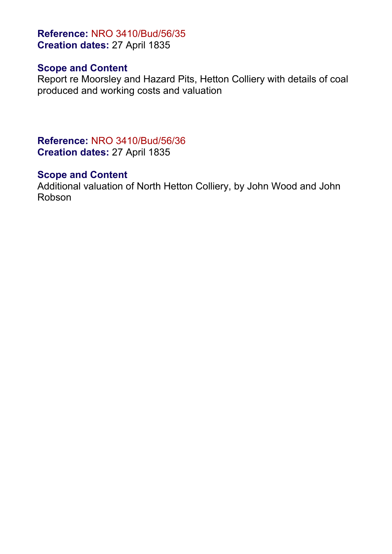**Reference:** NRO 3410/Bud/56/35 **Creation dates:** 27 April 1835

## **Scope and Content**

Report re Moorsley and Hazard Pits, Hetton Colliery with details of coal produced and working costs and valuation

**Reference:** NRO 3410/Bud/56/36 **Creation dates:** 27 April 1835

## **Scope and Content**

Additional valuation of North Hetton Colliery, by John Wood and John Robson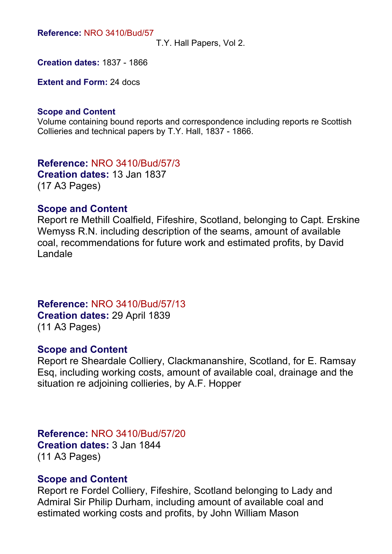**Reference:** NRO 3410/Bud/57

T.Y. Hall Papers, Vol 2.

**Creation dates:** 1837 - 1866

**Extent and Form:** 24 docs

#### **Scope and Content**

Volume containing bound reports and correspondence including reports re Scottish Collieries and technical papers by T.Y. Hall, 1837 - 1866.

**Reference:** NRO 3410/Bud/57/3 **Creation dates:** 13 Jan 1837 (17 A3 Pages)

#### **Scope and Content**

Report re Methill Coalfield, Fifeshire, Scotland, belonging to Capt. Erskine Wemyss R.N. including description of the seams, amount of available coal, recommendations for future work and estimated profits, by David Landale

**Reference:** NRO 3410/Bud/57/13 **Creation dates:** 29 April 1839 (11 A3 Pages)

#### **Scope and Content**

Report re Sheardale Colliery, Clackmananshire, Scotland, for E. Ramsay Esq, including working costs, amount of available coal, drainage and the situation re adjoining collieries, by A.F. Hopper

#### **Reference:** NRO 3410/Bud/57/20

**Creation dates:** 3 Jan 1844 (11 A3 Pages)

#### **Scope and Content**

Report re Fordel Colliery, Fifeshire, Scotland belonging to Lady and Admiral Sir Philip Durham, including amount of available coal and estimated working costs and profits, by John William Mason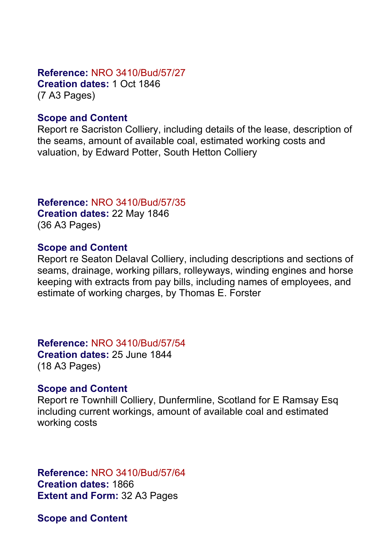#### **Reference:** NRO 3410/Bud/57/27

**Creation dates:** 1 Oct 1846 (7 A3 Pages)

## **Scope and Content**

Report re Sacriston Colliery, including details of the lease, description of the seams, amount of available coal, estimated working costs and valuation, by Edward Potter, South Hetton Colliery

## **Reference:** NRO 3410/Bud/57/35

**Creation dates:** 22 May 1846 (36 A3 Pages)

## **Scope and Content**

Report re Seaton Delaval Colliery, including descriptions and sections of seams, drainage, working pillars, rolleyways, winding engines and horse keeping with extracts from pay bills, including names of employees, and estimate of working charges, by Thomas E. Forster

**Reference:** NRO 3410/Bud/57/54 **Creation dates:** 25 June 1844

# (18 A3 Pages)

## **Scope and Content**

Report re Townhill Colliery, Dunfermline, Scotland for E Ramsay Esq including current workings, amount of available coal and estimated working costs

# **Reference:** NRO 3410/Bud/57/64 **Creation dates:** 1866

**Extent and Form:** 32 A3 Pages

**Scope and Content**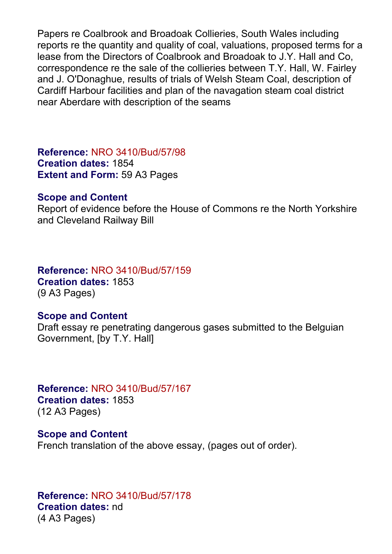Papers re Coalbrook and Broadoak Collieries, South Wales including reports re the quantity and quality of coal, valuations, proposed terms for a lease from the Directors of Coalbrook and Broadoak to J.Y. Hall and Co, correspondence re the sale of the collieries between T.Y. Hall, W. Fairley and J. O'Donaghue, results of trials of Welsh Steam Coal, description of Cardiff Harbour facilities and plan of the navagation steam coal district near Aberdare with description of the seams

**Reference:** NRO 3410/Bud/57/98 **Creation dates:** 1854 **Extent and Form:** 59 A3 Pages

#### **Scope and Content**

Report of evidence before the House of Commons re the North Yorkshire and Cleveland Railway Bill

## **Reference:** NRO 3410/Bud/57/159

**Creation dates:** 1853 (9 A3 Pages)

#### **Scope and Content**

Draft essay re penetrating dangerous gases submitted to the Belguian Government, [by T.Y. Hall]

**Reference:** NRO 3410/Bud/57/167 **Creation dates:** 1853 (12 A3 Pages)

**Scope and Content** French translation of the above essay, (pages out of order).

**Reference:** NRO 3410/Bud/57/178 **Creation dates:** nd (4 A3 Pages)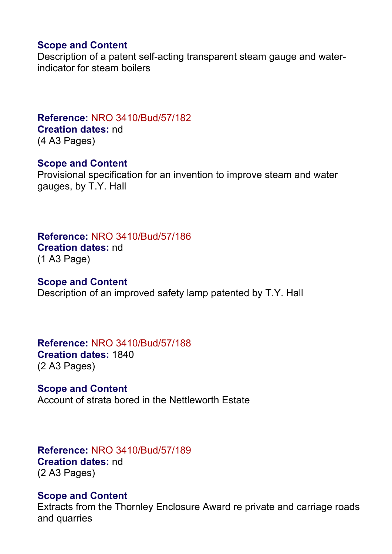## **Scope and Content**

Description of a patent self-acting transparent steam gauge and waterindicator for steam boilers

## **Reference:** NRO 3410/Bud/57/182 **Creation dates:** nd

(4 A3 Pages)

#### **Scope and Content**

Provisional specification for an invention to improve steam and water gauges, by T.Y. Hall

## **Reference:** NRO 3410/Bud/57/186 **Creation dates:** nd

(1 A3 Page)

## **Scope and Content**

Description of an improved safety lamp patented by T.Y. Hall

## **Reference:** NRO 3410/Bud/57/188 **Creation dates:** 1840 (2 A3 Pages)

**Scope and Content** Account of strata bored in the Nettleworth Estate

#### **Reference:** NRO 3410/Bud/57/189 **Creation dates:** nd (2 A3 Pages)

## **Scope and Content**

Extracts from the Thornley Enclosure Award re private and carriage roads and quarries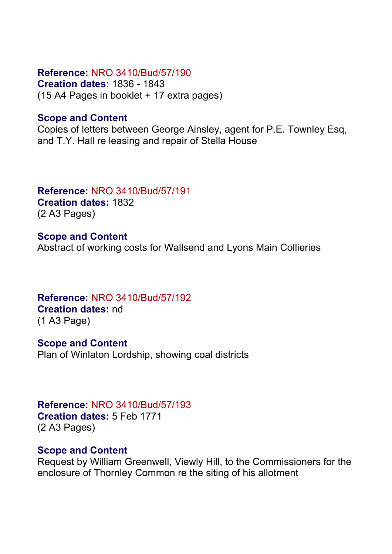## **Reference:** NRO 3410/Bud/57/190

**Creation dates:** 1836 - 1843 (15 A4 Pages in booklet + 17 extra pages)

## **Scope and Content**

Copies of letters between George Ainsley, agent for P.E. Townley Esq, and T.Y. Hall re leasing and repair of Stella House

#### **Reference:** NRO 3410/Bud/57/191 **Creation dates:** 1832

(2 A3 Pages)

**Scope and Content** Abstract of working costs for Wallsend and Lyons Main Collieries

**Reference:** NRO 3410/Bud/57/192 **Creation dates:** nd (1 A3 Page)

**Scope and Content** Plan of Winlaton Lordship, showing coal districts

**Reference:** NRO 3410/Bud/57/193 **Creation dates:** 5 Feb 1771 (2 A3 Pages)

## **Scope and Content**

Request by William Greenwell, Viewly Hill, to the Commissioners for the enclosure of Thornley Common re the siting of his allotment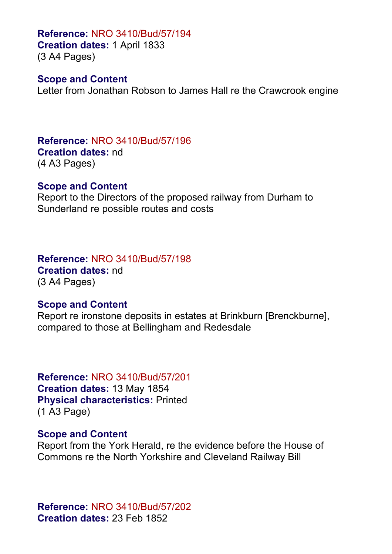**Reference:** NRO 3410/Bud/57/194 **Creation dates:** 1 April 1833

(3 A4 Pages)

#### **Scope and Content**

Letter from Jonathan Robson to James Hall re the Crawcrook engine

**Reference:** NRO 3410/Bud/57/196 **Creation dates:** nd (4 A3 Pages)

#### **Scope and Content**

Report to the Directors of the proposed railway from Durham to Sunderland re possible routes and costs

**Reference:** NRO 3410/Bud/57/198 **Creation dates:** nd (3 A4 Pages)

#### **Scope and Content**

Report re ironstone deposits in estates at Brinkburn [Brenckburne], compared to those at Bellingham and Redesdale

**Reference:** NRO 3410/Bud/57/201 **Creation dates:** 13 May 1854 **Physical characteristics:** Printed (1 A3 Page)

#### **Scope and Content**

Report from the York Herald, re the evidence before the House of Commons re the North Yorkshire and Cleveland Railway Bill

**Reference:** NRO 3410/Bud/57/202 **Creation dates:** 23 Feb 1852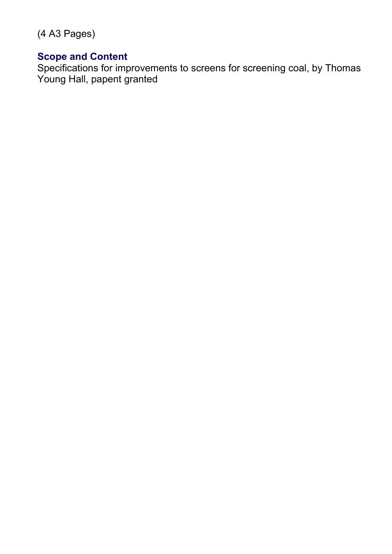(4 A3 Pages)

## **Scope and Content**

Specifications for improvements to screens for screening coal, by Thomas Young Hall, papent granted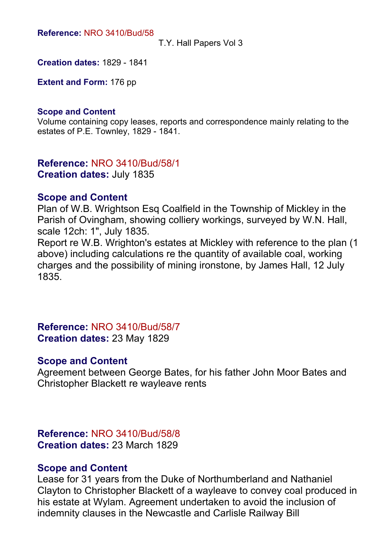#### **Reference:** NRO 3410/Bud/58

T.Y. Hall Papers Vol 3

**Creation dates:** 1829 - 1841

**Extent and Form:** 176 pp

#### **Scope and Content**

Volume containing copy leases, reports and correspondence mainly relating to the estates of P.E. Townley, 1829 - 1841.

**Reference:** NRO 3410/Bud/58/1 **Creation dates:** July 1835

#### **Scope and Content**

Plan of W.B. Wrightson Esq Coalfield in the Township of Mickley in the Parish of Ovingham, showing colliery workings, surveyed by W.N. Hall, scale 12ch: 1", July 1835.

Report re W.B. Wrighton's estates at Mickley with reference to the plan (1 above) including calculations re the quantity of available coal, working charges and the possibility of mining ironstone, by James Hall, 12 July 1835.

**Reference:** NRO 3410/Bud/58/7 **Creation dates:** 23 May 1829

#### **Scope and Content**

Agreement between George Bates, for his father John Moor Bates and Christopher Blackett re wayleave rents

**Reference:** NRO 3410/Bud/58/8 **Creation dates:** 23 March 1829

#### **Scope and Content**

Lease for 31 years from the Duke of Northumberland and Nathaniel Clayton to Christopher Blackett of a wayleave to convey coal produced in his estate at Wylam. Agreement undertaken to avoid the inclusion of indemnity clauses in the Newcastle and Carlisle Railway Bill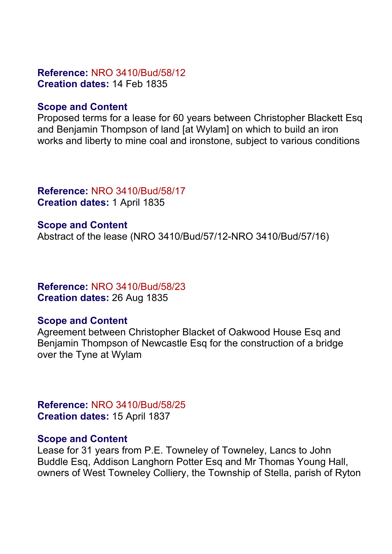## **Reference:** NRO 3410/Bud/58/12 **Creation dates:** 14 Feb 1835

## **Scope and Content**

Proposed terms for a lease for 60 years between Christopher Blackett Esq and Benjamin Thompson of land [at Wylam] on which to build an iron works and liberty to mine coal and ironstone, subject to various conditions

## **Reference:** NRO 3410/Bud/58/17 **Creation dates:** 1 April 1835

**Scope and Content** Abstract of the lease (NRO 3410/Bud/57/12-NRO 3410/Bud/57/16)

## **Reference:** NRO 3410/Bud/58/23 **Creation dates:** 26 Aug 1835

## **Scope and Content**

Agreement between Christopher Blacket of Oakwood House Esq and Benjamin Thompson of Newcastle Esq for the construction of a bridge over the Tyne at Wylam

**Reference:** NRO 3410/Bud/58/25 **Creation dates:** 15 April 1837

## **Scope and Content**

Lease for 31 years from P.E. Towneley of Towneley, Lancs to John Buddle Esq, Addison Langhorn Potter Esq and Mr Thomas Young Hall, owners of West Towneley Colliery, the Township of Stella, parish of Ryton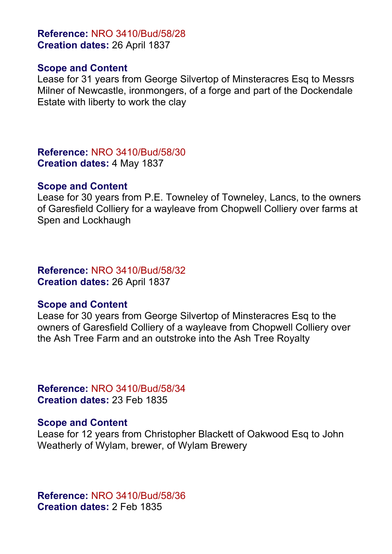**Reference:** NRO 3410/Bud/58/28 **Creation dates:** 26 April 1837

#### **Scope and Content**

Lease for 31 years from George Silvertop of Minsteracres Esq to Messrs Milner of Newcastle, ironmongers, of a forge and part of the Dockendale Estate with liberty to work the clay

**Reference:** NRO 3410/Bud/58/30 **Creation dates:** 4 May 1837

#### **Scope and Content**

Lease for 30 years from P.E. Towneley of Towneley, Lancs, to the owners of Garesfield Colliery for a wayleave from Chopwell Colliery over farms at Spen and Lockhaugh

#### **Reference:** NRO 3410/Bud/58/32 **Creation dates:** 26 April 1837

#### **Scope and Content**

Lease for 30 years from George Silvertop of Minsteracres Esq to the owners of Garesfield Colliery of a wayleave from Chopwell Colliery over the Ash Tree Farm and an outstroke into the Ash Tree Royalty

**Reference:** NRO 3410/Bud/58/34 **Creation dates:** 23 Feb 1835

#### **Scope and Content**

Lease for 12 years from Christopher Blackett of Oakwood Esq to John Weatherly of Wylam, brewer, of Wylam Brewery

**Reference:** NRO 3410/Bud/58/36 **Creation dates:** 2 Feb 1835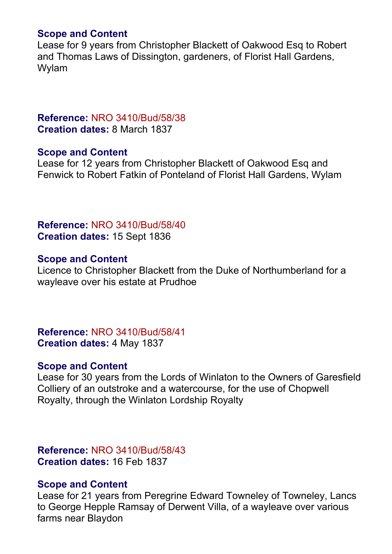## **Scope and Content**

Lease for 9 years from Christopher Blackett of Oakwood Esq to Robert and Thomas Laws of Dissington, gardeners, of Florist Hall Gardens, Wylam

## **Reference:** NRO 3410/Bud/58/38 **Creation dates:** 8 March 1837

## **Scope and Content**

Lease for 12 years from Christopher Blackett of Oakwood Esq and Fenwick to Robert Fatkin of Ponteland of Florist Hall Gardens, Wylam

**Reference:** NRO 3410/Bud/58/40 **Creation dates:** 15 Sept 1836

## **Scope and Content**

Licence to Christopher Blackett from the Duke of Northumberland for a wayleave over his estate at Prudhoe

**Reference:** NRO 3410/Bud/58/41 **Creation dates:** 4 May 1837

## **Scope and Content**

Lease for 30 years from the Lords of Winlaton to the Owners of Garesfield Colliery of an outstroke and a watercourse, for the use of Chopwell Royalty, through the Winlaton Lordship Royalty

**Reference:** NRO 3410/Bud/58/43 **Creation dates:** 16 Feb 1837

## **Scope and Content**

Lease for 21 years from Peregrine Edward Towneley of Towneley, Lancs to George Hepple Ramsay of Derwent Villa, of a wayleave over various farms near Blaydon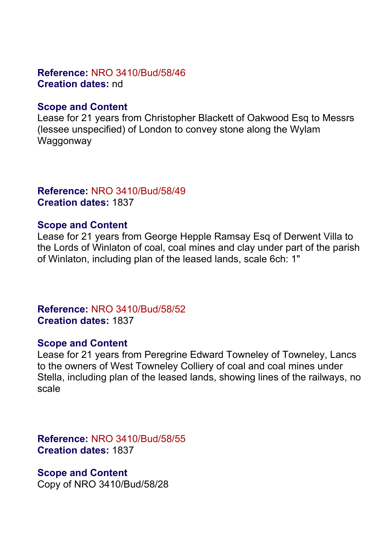## **Reference:** NRO 3410/Bud/58/46 **Creation dates:** nd

## **Scope and Content**

Lease for 21 years from Christopher Blackett of Oakwood Esq to Messrs (lessee unspecified) of London to convey stone along the Wylam Waggonway

## **Reference:** NRO 3410/Bud/58/49 **Creation dates:** 1837

## **Scope and Content**

Lease for 21 years from George Hepple Ramsay Esq of Derwent Villa to the Lords of Winlaton of coal, coal mines and clay under part of the parish of Winlaton, including plan of the leased lands, scale 6ch: 1"

## **Reference:** NRO 3410/Bud/58/52 **Creation dates:** 1837

## **Scope and Content**

Lease for 21 years from Peregrine Edward Towneley of Towneley, Lancs to the owners of West Towneley Colliery of coal and coal mines under Stella, including plan of the leased lands, showing lines of the railways, no scale

**Reference:** NRO 3410/Bud/58/55 **Creation dates:** 1837

## **Scope and Content**

Copy of NRO 3410/Bud/58/28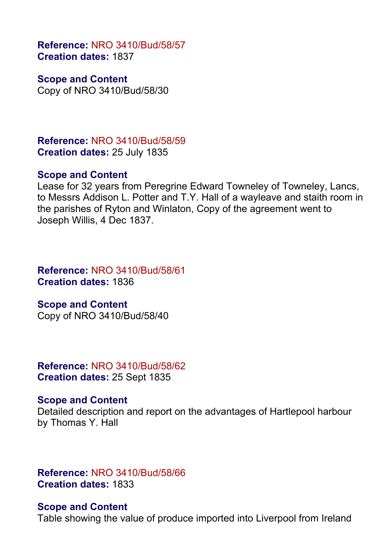**Reference:** NRO 3410/Bud/58/57 **Creation dates:** 1837

**Scope and Content** Copy of NRO 3410/Bud/58/30

**Reference:** NRO 3410/Bud/58/59 **Creation dates:** 25 July 1835

#### **Scope and Content**

Lease for 32 years from Peregrine Edward Towneley of Towneley, Lancs, to Messrs Addison L. Potter and T.Y. Hall of a wayleave and staith room in the parishes of Ryton and Winlaton, Copy of the agreement went to Joseph Willis, 4 Dec 1837.

**Reference:** NRO 3410/Bud/58/61 **Creation dates:** 1836

#### **Scope and Content**

Copy of NRO 3410/Bud/58/40

**Reference:** NRO 3410/Bud/58/62 **Creation dates:** 25 Sept 1835

#### **Scope and Content**

Detailed description and report on the advantages of Hartlepool harbour by Thomas Y. Hall

**Reference:** NRO 3410/Bud/58/66 **Creation dates:** 1833

#### **Scope and Content**

Table showing the value of produce imported into Liverpool from Ireland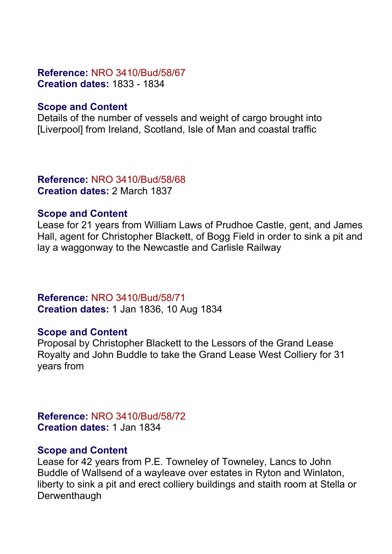#### **Reference:** NRO 3410/Bud/58/67 **Creation dates:** 1833 - 1834

## **Scope and Content**

Details of the number of vessels and weight of cargo brought into [Liverpool] from Ireland, Scotland, Isle of Man and coastal traffic

**Reference:** NRO 3410/Bud/58/68 **Creation dates:** 2 March 1837

#### **Scope and Content**

Lease for 21 years from William Laws of Prudhoe Castle, gent, and James Hall, agent for Christopher Blackett, of Bogg Field in order to sink a pit and lay a waggonway to the Newcastle and Carlisle Railway

**Reference:** NRO 3410/Bud/58/71 **Creation dates:** 1 Jan 1836, 10 Aug 1834

## **Scope and Content**

Proposal by Christopher Blackett to the Lessors of the Grand Lease Royalty and John Buddle to take the Grand Lease West Colliery for 31 years from

**Reference:** NRO 3410/Bud/58/72 **Creation dates:** 1 Jan 1834

#### **Scope and Content**

Lease for 42 years from P.E. Towneley of Towneley, Lancs to John Buddle of Wallsend of a wayleave over estates in Ryton and Winlaton, liberty to sink a pit and erect colliery buildings and staith room at Stella or **Derwenthaugh**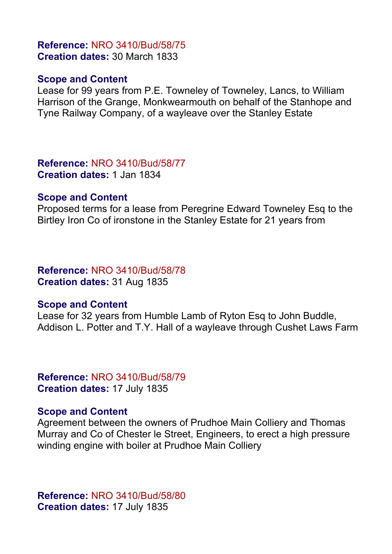#### **Reference:** NRO 3410/Bud/58/75 **Creation dates:** 30 March 1833

#### **Scope and Content**

Lease for 99 years from P.E. Towneley of Towneley, Lancs, to William Harrison of the Grange, Monkwearmouth on behalf of the Stanhope and Tyne Railway Company, of a wayleave over the Stanley Estate

**Reference:** NRO 3410/Bud/58/77 **Creation dates:** 1 Jan 1834

#### **Scope and Content**

Proposed terms for a lease from Peregrine Edward Towneley Esq to the Birtley Iron Co of ironstone in the Stanley Estate for 21 years from

**Reference:** NRO 3410/Bud/58/78 **Creation dates:** 31 Aug 1835

#### **Scope and Content**

Lease for 32 years from Humble Lamb of Ryton Esq to John Buddle, Addison L. Potter and T.Y. Hall of a wayleave through Cushet Laws Farm

**Reference:** NRO 3410/Bud/58/79 **Creation dates:** 17 July 1835

#### **Scope and Content**

Agreement between the owners of Prudhoe Main Colliery and Thomas Murray and Co of Chester le Street, Engineers, to erect a high pressure winding engine with boiler at Prudhoe Main Colliery

**Reference:** NRO 3410/Bud/58/80 **Creation dates:** 17 July 1835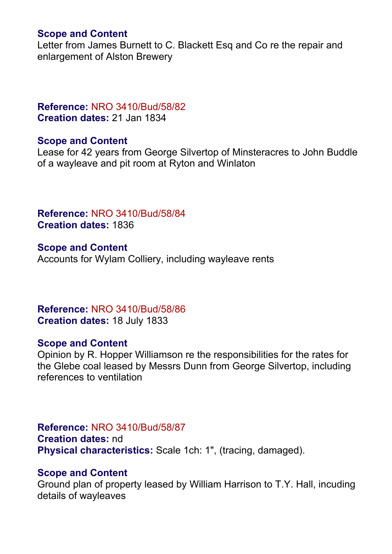#### **Scope and Content**

Letter from James Burnett to C. Blackett Esq and Co re the repair and enlargement of Alston Brewery

## **Reference:** NRO 3410/Bud/58/82 **Creation dates:** 21 Jan 1834

## **Scope and Content**

Lease for 42 years from George Silvertop of Minsteracres to John Buddle of a wayleave and pit room at Ryton and Winlaton

**Reference:** NRO 3410/Bud/58/84 **Creation dates:** 1836

**Scope and Content** Accounts for Wylam Colliery, including wayleave rents

**Reference:** NRO 3410/Bud/58/86 **Creation dates:** 18 July 1833

#### **Scope and Content**

Opinion by R. Hopper Williamson re the responsibilities for the rates for the Glebe coal leased by Messrs Dunn from George Silvertop, including references to ventilation

#### **Reference:** NRO 3410/Bud/58/87

**Creation dates:** nd **Physical characteristics:** Scale 1ch: 1", (tracing, damaged).

#### **Scope and Content**

Ground plan of property leased by William Harrison to T.Y. Hall, incuding details of wayleaves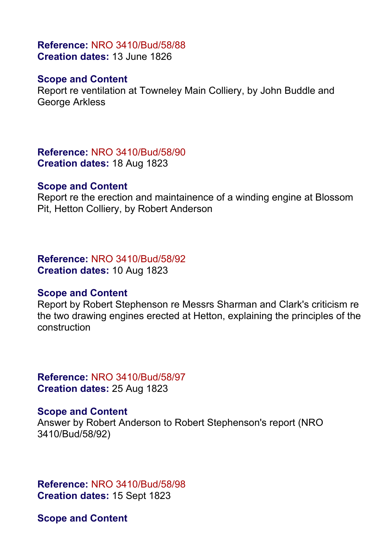## **Reference:** NRO 3410/Bud/58/88 **Creation dates:** 13 June 1826

## **Scope and Content**

Report re ventilation at Towneley Main Colliery, by John Buddle and George Arkless

**Reference:** NRO 3410/Bud/58/90 **Creation dates:** 18 Aug 1823

#### **Scope and Content**

Report re the erection and maintainence of a winding engine at Blossom Pit, Hetton Colliery, by Robert Anderson

**Reference:** NRO 3410/Bud/58/92 **Creation dates:** 10 Aug 1823

#### **Scope and Content**

Report by Robert Stephenson re Messrs Sharman and Clark's criticism re the two drawing engines erected at Hetton, explaining the principles of the construction

**Reference:** NRO 3410/Bud/58/97 **Creation dates:** 25 Aug 1823

#### **Scope and Content**

Answer by Robert Anderson to Robert Stephenson's report (NRO 3410/Bud/58/92)

**Reference:** NRO 3410/Bud/58/98 **Creation dates:** 15 Sept 1823

**Scope and Content**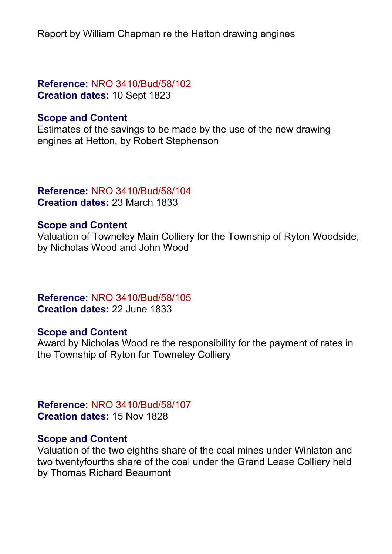Report by William Chapman re the Hetton drawing engines

## **Reference:** NRO 3410/Bud/58/102 **Creation dates:** 10 Sept 1823

## **Scope and Content**

Estimates of the savings to be made by the use of the new drawing engines at Hetton, by Robert Stephenson

#### **Reference:** NRO 3410/Bud/58/104 **Creation dates:** 23 March 1833

## **Scope and Content**

Valuation of Towneley Main Colliery for the Township of Ryton Woodside, by Nicholas Wood and John Wood

**Reference:** NRO 3410/Bud/58/105 **Creation dates:** 22 June 1833

## **Scope and Content**

Award by Nicholas Wood re the responsibility for the payment of rates in the Township of Ryton for Towneley Colliery

**Reference:** NRO 3410/Bud/58/107 **Creation dates:** 15 Nov 1828

## **Scope and Content**

Valuation of the two eighths share of the coal mines under Winlaton and two twentyfourths share of the coal under the Grand Lease Colliery held by Thomas Richard Beaumont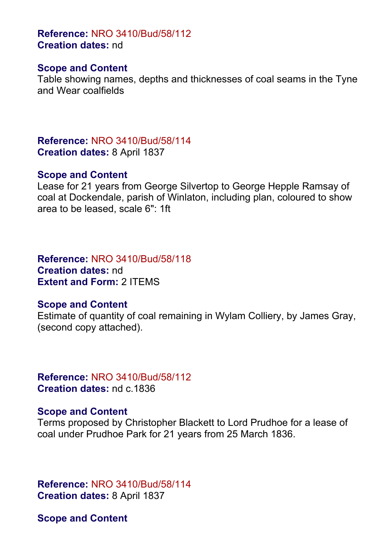**Reference:** NRO 3410/Bud/58/112 **Creation dates:** nd

#### **Scope and Content**

Table showing names, depths and thicknesses of coal seams in the Tyne and Wear coalfields

**Reference:** NRO 3410/Bud/58/114 **Creation dates:** 8 April 1837

#### **Scope and Content**

Lease for 21 years from George Silvertop to George Hepple Ramsay of coal at Dockendale, parish of Winlaton, including plan, coloured to show area to be leased, scale 6": 1ft

**Reference:** NRO 3410/Bud/58/118 **Creation dates:** nd **Extent and Form:** 2 ITEMS

## **Scope and Content**

Estimate of quantity of coal remaining in Wylam Colliery, by James Gray, (second copy attached).

**Reference:** NRO 3410/Bud/58/112 **Creation dates:** nd c.1836

## **Scope and Content**

Terms proposed by Christopher Blackett to Lord Prudhoe for a lease of coal under Prudhoe Park for 21 years from 25 March 1836.

**Reference:** NRO 3410/Bud/58/114 **Creation dates:** 8 April 1837

**Scope and Content**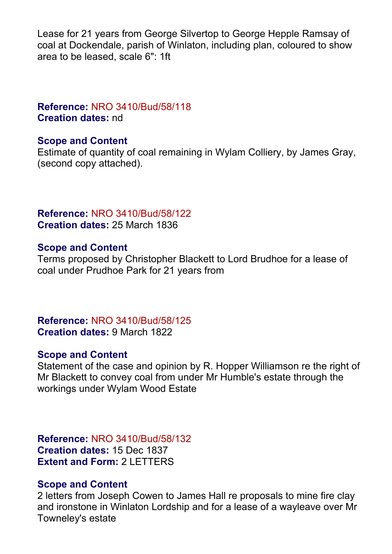Lease for 21 years from George Silvertop to George Hepple Ramsay of coal at Dockendale, parish of Winlaton, including plan, coloured to show area to be leased, scale 6": 1ft

## **Reference:** NRO 3410/Bud/58/118 **Creation dates:** nd

## **Scope and Content**

Estimate of quantity of coal remaining in Wylam Colliery, by James Gray, (second copy attached).

## **Reference:** NRO 3410/Bud/58/122 **Creation dates:** 25 March 1836

## **Scope and Content**

Terms proposed by Christopher Blackett to Lord Brudhoe for a lease of coal under Prudhoe Park for 21 years from

## **Reference:** NRO 3410/Bud/58/125 **Creation dates:** 9 March 1822

## **Scope and Content**

Statement of the case and opinion by R. Hopper Williamson re the right of Mr Blackett to convey coal from under Mr Humble's estate through the workings under Wylam Wood Estate

**Reference:** NRO 3410/Bud/58/132 **Creation dates:** 15 Dec 1837 **Extent and Form:** 2 LETTERS

## **Scope and Content**

2 letters from Joseph Cowen to James Hall re proposals to mine fire clay and ironstone in Winlaton Lordship and for a lease of a wayleave over Mr Towneley's estate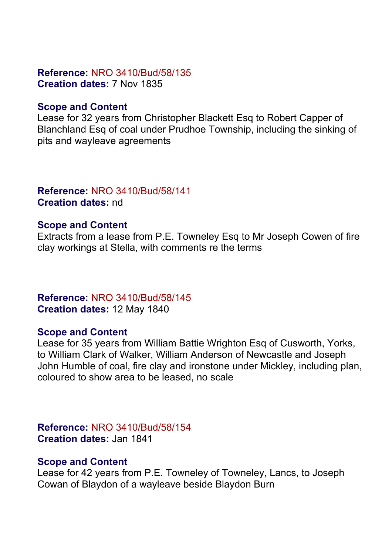## **Reference:** NRO 3410/Bud/58/135 **Creation dates:** 7 Nov 1835

#### **Scope and Content**

Lease for 32 years from Christopher Blackett Esq to Robert Capper of Blanchland Esq of coal under Prudhoe Township, including the sinking of pits and wayleave agreements

## **Reference:** NRO 3410/Bud/58/141 **Creation dates:** nd

## **Scope and Content**

Extracts from a lease from P.E. Towneley Esq to Mr Joseph Cowen of fire clay workings at Stella, with comments re the terms

## **Reference:** NRO 3410/Bud/58/145 **Creation dates:** 12 May 1840

#### **Scope and Content**

Lease for 35 years from William Battie Wrighton Esq of Cusworth, Yorks, to William Clark of Walker, William Anderson of Newcastle and Joseph John Humble of coal, fire clay and ironstone under Mickley, including plan, coloured to show area to be leased, no scale

## **Reference:** NRO 3410/Bud/58/154 **Creation dates:** Jan 1841

#### **Scope and Content**

Lease for 42 years from P.E. Towneley of Towneley, Lancs, to Joseph Cowan of Blaydon of a wayleave beside Blaydon Burn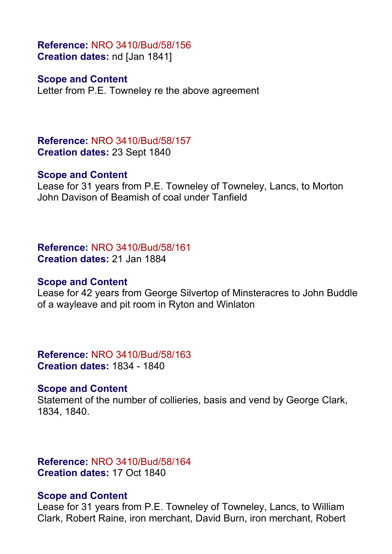**Reference:** NRO 3410/Bud/58/156 **Creation dates:** nd [Jan 1841]

#### **Scope and Content**

Letter from P.E. Towneley re the above agreement

**Reference:** NRO 3410/Bud/58/157 **Creation dates:** 23 Sept 1840

#### **Scope and Content**

Lease for 31 years from P.E. Towneley of Towneley, Lancs, to Morton John Davison of Beamish of coal under Tanfield

**Reference:** NRO 3410/Bud/58/161 **Creation dates:** 21 Jan 1884

#### **Scope and Content**

Lease for 42 years from George Silvertop of Minsteracres to John Buddle of a wayleave and pit room in Ryton and Winlaton

**Reference:** NRO 3410/Bud/58/163 **Creation dates:** 1834 - 1840

#### **Scope and Content**

Statement of the number of collieries, basis and vend by George Clark, 1834, 1840.

**Reference:** NRO 3410/Bud/58/164 **Creation dates:** 17 Oct 1840

#### **Scope and Content**

Lease for 31 years from P.E. Towneley of Towneley, Lancs, to William Clark, Robert Raine, iron merchant, David Burn, iron merchant, Robert